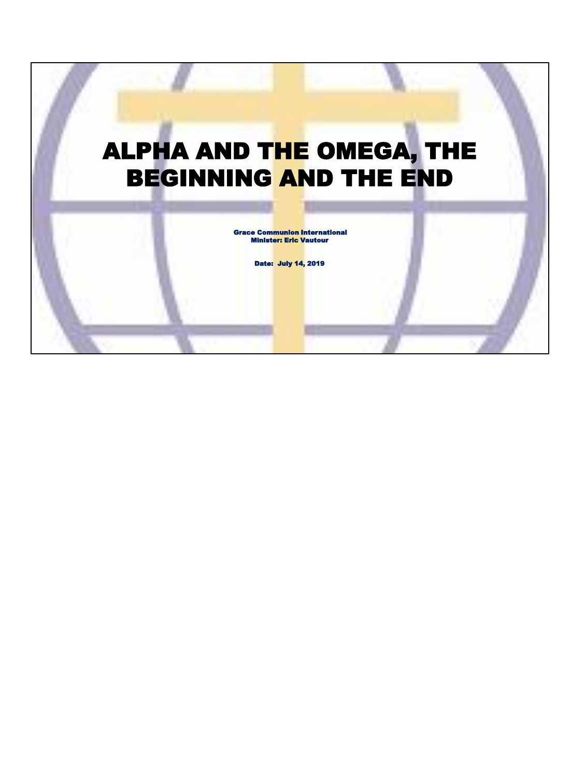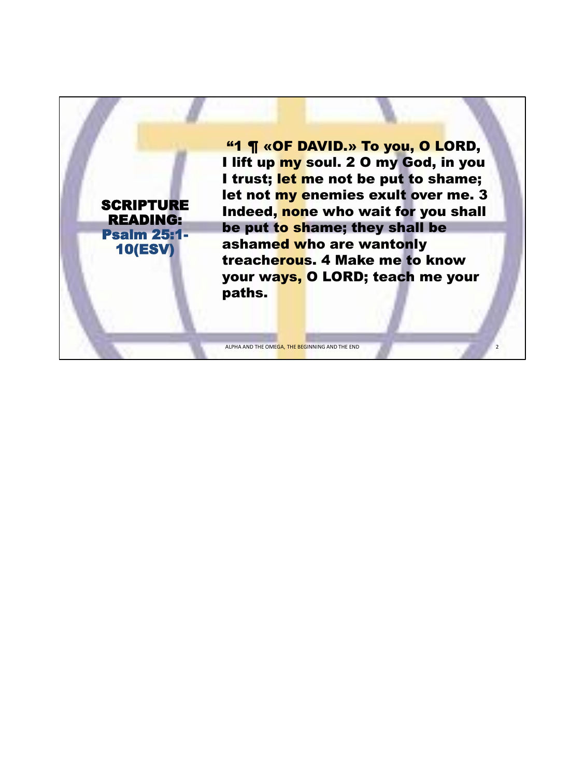"1 ¶ «OF DAVID.» To you, O LORD, I lift up my soul. 2 0 my God, in you I trust; let me not be put to shame; let not my enemies exult over me. 3 Indeed, none who wait for you shall be put to shame; they shall be ashamed who are wantonly treacherous. 4 Make me to know your ways, O LORD; teach me your paths.

2

ALPHA AND THE OMEGA, THE BEGINNING AND THE END

**SCRIPTURE** READING: Psalm 25:1- 10(ESV)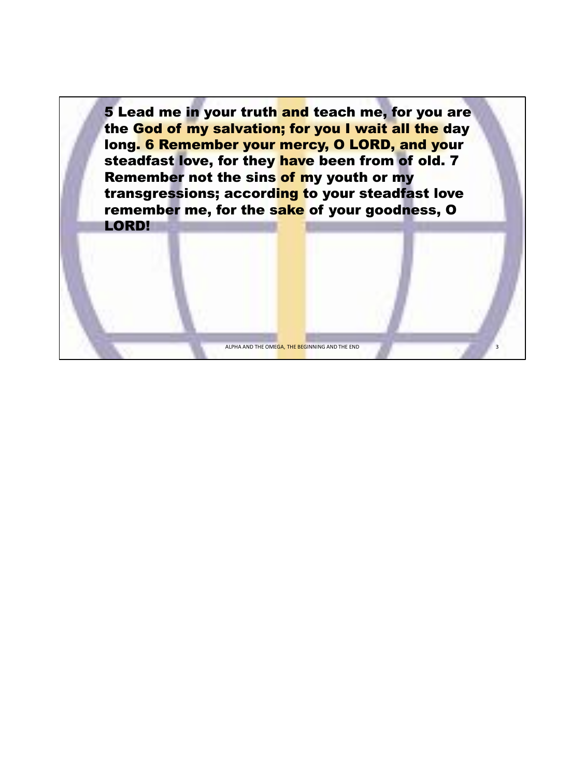5 Lead me in your truth and teach me, for you are the God of my salvation; for you I wait all the day long. 6 Remember your mercy, O LORD, and your steadfast love, for they have been from of old. 7 Remember not the sins of my youth or my transgressions; according to your steadfast love remember me, for the sake of your goodness, O LORD!

ALPHA AND THE OMEGA, THE BEGINNING AND THE END

3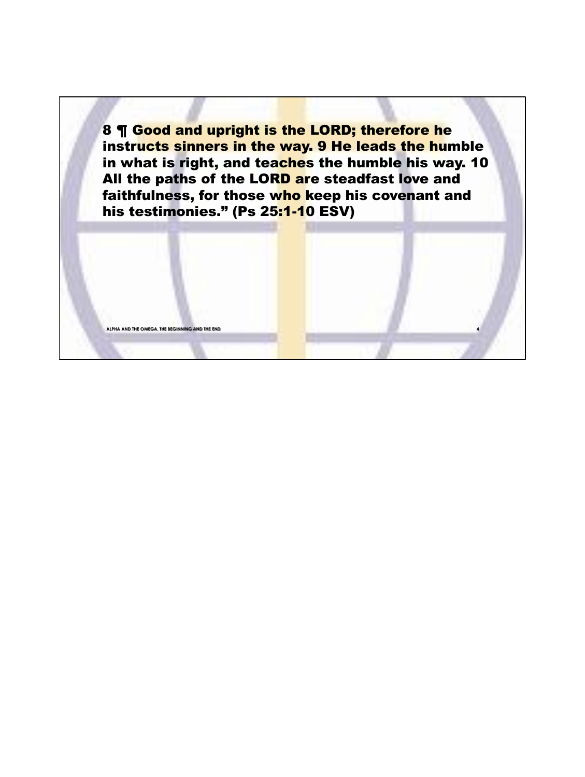8 ¶ Good and upright is the LORD; therefore he instructs sinners in the way. 9 He leads the humble in what is right, and teaches the humble his way. 10 All the paths of the LORD are steadfast love and faithfulness, for those who keep his covenant and his testimonies." (Ps 25:1-10 ESV)

**ALPHA AND THE OMEGA, THE BEGIN** 

**4**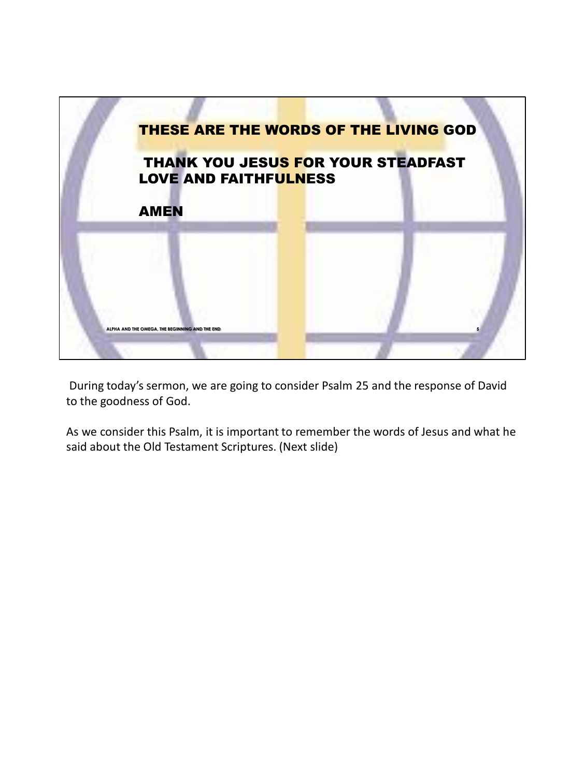

During today's sermon, we are going to consider Psalm 25 and the response of David to the goodness of God.

As we consider this Psalm, it is important to remember the words of Jesus and what he said about the Old Testament Scriptures. (Next slide)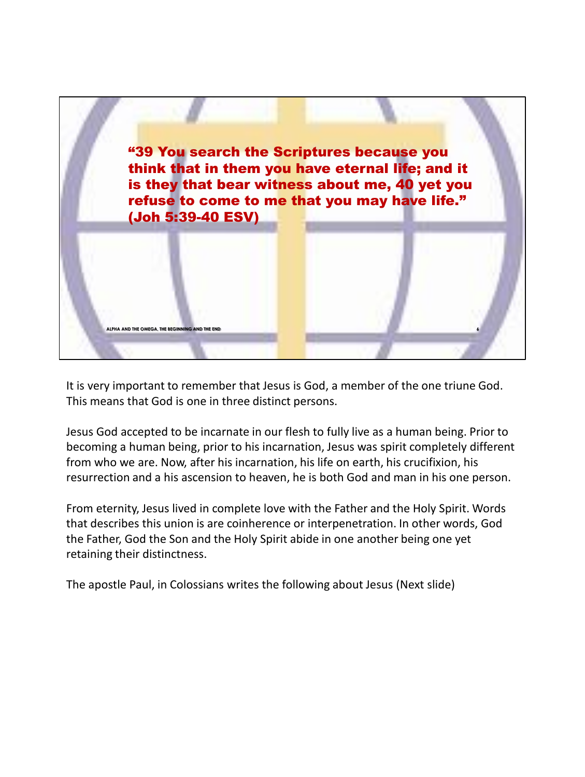

It is very important to remember that Jesus is God, a member of the one triune God. This means that God is one in three distinct persons.

Jesus God accepted to be incarnate in our flesh to fully live as a human being. Prior to becoming a human being, prior to his incarnation, Jesus was spirit completely different from who we are. Now, after his incarnation, his life on earth, his crucifixion, his resurrection and a his ascension to heaven, he is both God and man in his one person.

From eternity, Jesus lived in complete love with the Father and the Holy Spirit. Words that describes this union is are coinherence or interpenetration. In other words, God the Father, God the Son and the Holy Spirit abide in one another being one yet retaining their distinctness.

The apostle Paul, in Colossians writes the following about Jesus (Next slide)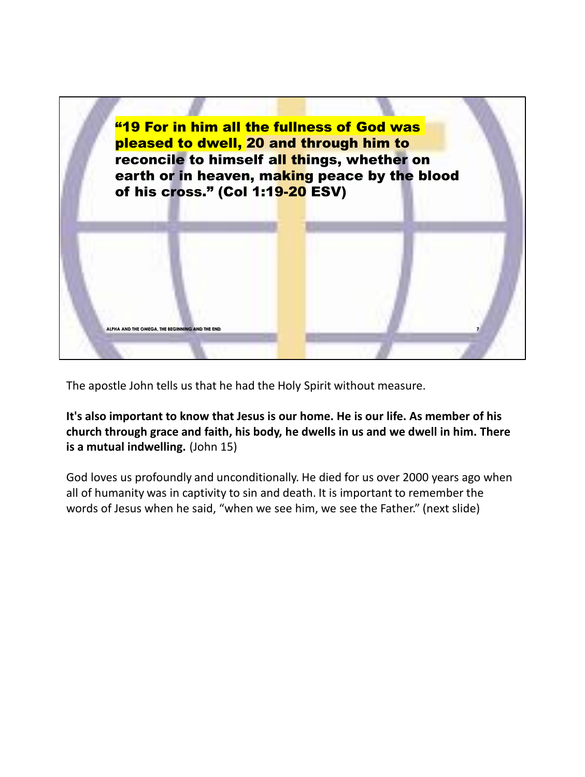

The apostle John tells us that he had the Holy Spirit without measure.

**It's also important to know that Jesus is our home. He is our life. As member of his church through grace and faith, his body, he dwells in us and we dwell in him. There is a mutual indwelling.** (John 15)

God loves us profoundly and unconditionally. He died for us over 2000 years ago when all of humanity was in captivity to sin and death. It is important to remember the words of Jesus when he said, "when we see him, we see the Father." (next slide)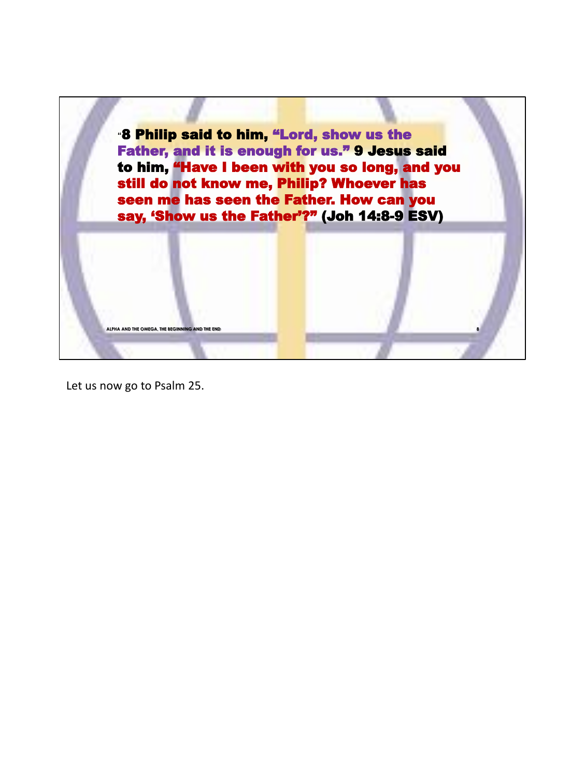

Let us now go to Psalm 25.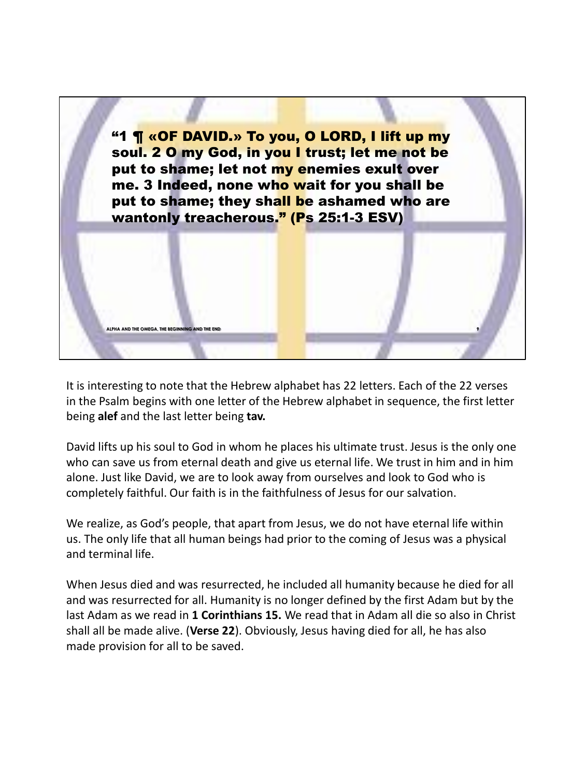

It is interesting to note that the Hebrew alphabet has 22 letters. Each of the 22 verses in the Psalm begins with one letter of the Hebrew alphabet in sequence, the first letter being **alef** and the last letter being **tav.**

David lifts up his soul to God in whom he places his ultimate trust. Jesus is the only one who can save us from eternal death and give us eternal life. We trust in him and in him alone. Just like David, we are to look away from ourselves and look to God who is completely faithful. Our faith is in the faithfulness of Jesus for our salvation.

We realize, as God's people, that apart from Jesus, we do not have eternal life within us. The only life that all human beings had prior to the coming of Jesus was a physical and terminal life.

When Jesus died and was resurrected, he included all humanity because he died for all and was resurrected for all. Humanity is no longer defined by the first Adam but by the last Adam as we read in **1 Corinthians 15.** We read that in Adam all die so also in Christ shall all be made alive. (**Verse 22**). Obviously, Jesus having died for all, he has also made provision for all to be saved.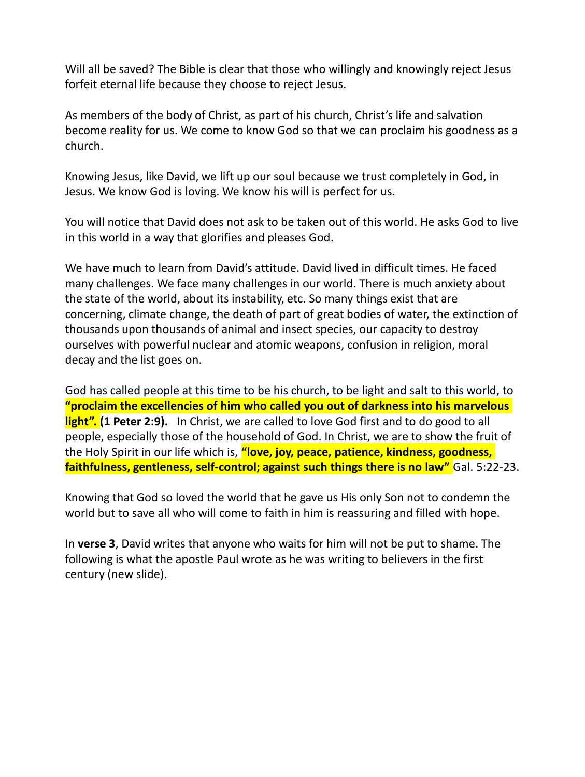Will all be saved? The Bible is clear that those who willingly and knowingly reject Jesus forfeit eternal life because they choose to reject Jesus.

As members of the body of Christ, as part of his church, Christ's life and salvation become reality for us. We come to know God so that we can proclaim his goodness as a church.

Knowing Jesus, like David, we lift up our soul because we trust completely in God, in Jesus. We know God is loving. We know his will is perfect for us.

You will notice that David does not ask to be taken out of this world. He asks God to live in this world in a way that glorifies and pleases God.

We have much to learn from David's attitude. David lived in difficult times. He faced many challenges. We face many challenges in our world. There is much anxiety about the state of the world, about its instability, etc. So many things exist that are concerning, climate change, the death of part of great bodies of water, the extinction of thousands upon thousands of animal and insect species, our capacity to destroy ourselves with powerful nuclear and atomic weapons, confusion in religion, moral decay and the list goes on.

God has called people at this time to be his church, to be light and salt to this world, to **"proclaim the excellencies of him who called you out of darkness into his marvelous light". (1 Peter 2:9).** In Christ, we are called to love God first and to do good to all people, especially those of the household of God. In Christ, we are to show the fruit of the Holy Spirit in our life which is, **"love, joy, peace, patience, kindness, goodness, faithfulness, gentleness, self-control; against such things there is no law"** Gal. 5:22-23.

Knowing that God so loved the world that he gave us His only Son not to condemn the world but to save all who will come to faith in him is reassuring and filled with hope.

In **verse 3**, David writes that anyone who waits for him will not be put to shame. The following is what the apostle Paul wrote as he was writing to believers in the first century (new slide).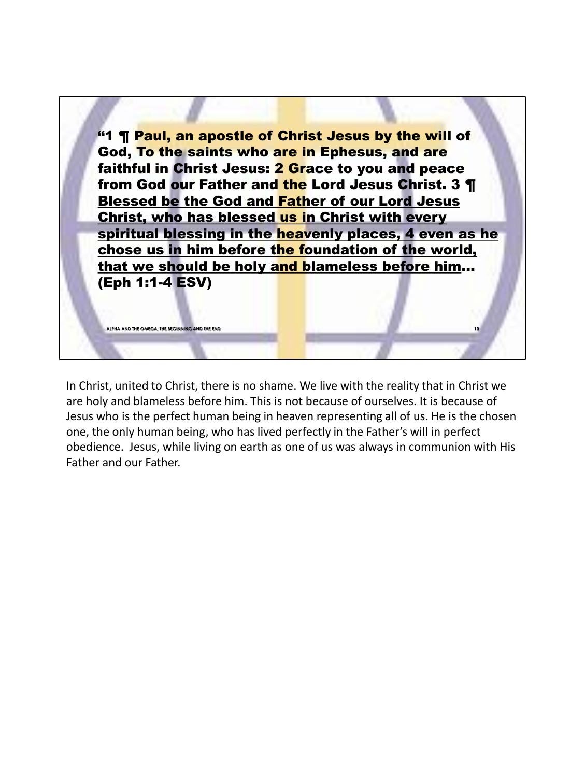

In Christ, united to Christ, there is no shame. We live with the reality that in Christ we are holy and blameless before him. This is not because of ourselves. It is because of Jesus who is the perfect human being in heaven representing all of us. He is the chosen one, the only human being, who has lived perfectly in the Father's will in perfect obedience. Jesus, while living on earth as one of us was always in communion with His Father and our Father.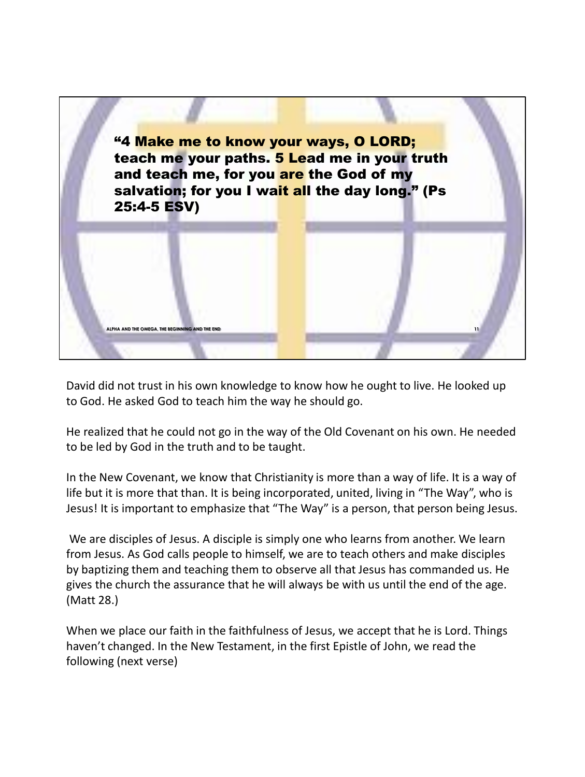

David did not trust in his own knowledge to know how he ought to live. He looked up to God. He asked God to teach him the way he should go.

He realized that he could not go in the way of the Old Covenant on his own. He needed to be led by God in the truth and to be taught.

In the New Covenant, we know that Christianity is more than a way of life. It is a way of life but it is more that than. It is being incorporated, united, living in "The Way", who is Jesus! It is important to emphasize that "The Way" is a person, that person being Jesus.

We are disciples of Jesus. A disciple is simply one who learns from another. We learn from Jesus. As God calls people to himself, we are to teach others and make disciples by baptizing them and teaching them to observe all that Jesus has commanded us. He gives the church the assurance that he will always be with us until the end of the age. (Matt 28.)

When we place our faith in the faithfulness of Jesus, we accept that he is Lord. Things haven't changed. In the New Testament, in the first Epistle of John, we read the following (next verse)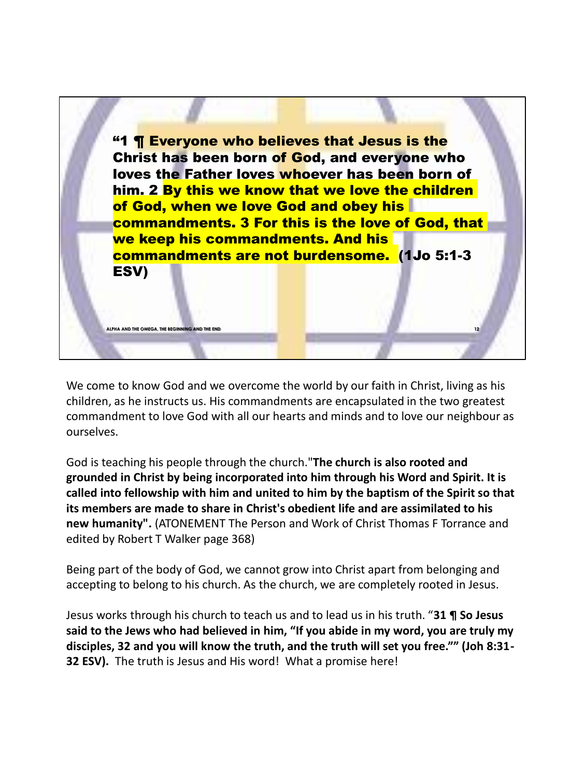

We come to know God and we overcome the world by our faith in Christ, living as his children, as he instructs us. His commandments are encapsulated in the two greatest commandment to love God with all our hearts and minds and to love our neighbour as ourselves.

**ALPHA AND THE OMEGA, THE BEGINNING AND THE END 12**

God is teaching his people through the church."**The church is also rooted and grounded in Christ by being incorporated into him through his Word and Spirit. It is called into fellowship with him and united to him by the baptism of the Spirit so that its members are made to share in Christ's obedient life and are assimilated to his new humanity".** (ATONEMENT The Person and Work of Christ Thomas F Torrance and edited by Robert T Walker page 368)

Being part of the body of God, we cannot grow into Christ apart from belonging and accepting to belong to his church. As the church, we are completely rooted in Jesus.

Jesus works through his church to teach us and to lead us in his truth. "**31 ¶ So Jesus said to the Jews who had believed in him, "If you abide in my word, you are truly my disciples, 32 and you will know the truth, and the truth will set you free."" (Joh 8:31- 32 ESV).** The truth is Jesus and His word! What a promise here!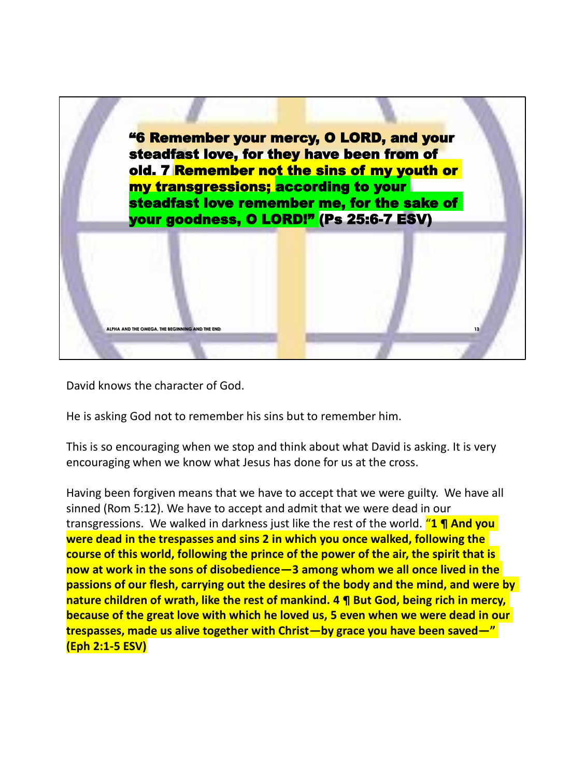

David knows the character of God.

He is asking God not to remember his sins but to remember him.

This is so encouraging when we stop and think about what David is asking. It is very encouraging when we know what Jesus has done for us at the cross.

Having been forgiven means that we have to accept that we were guilty. We have all sinned (Rom 5:12). We have to accept and admit that we were dead in our transgressions. We walked in darkness just like the rest of the world. "**1 ¶ And you were dead in the trespasses and sins 2 in which you once walked, following the course of this world, following the prince of the power of the air, the spirit that is now at work in the sons of disobedience—3 among whom we all once lived in the passions of our flesh, carrying out the desires of the body and the mind, and were by nature children of wrath, like the rest of mankind. 4 ¶ But God, being rich in mercy, because of the great love with which he loved us, 5 even when we were dead in our trespasses, made us alive together with Christ—by grace you have been saved—" (Eph 2:1-5 ESV)**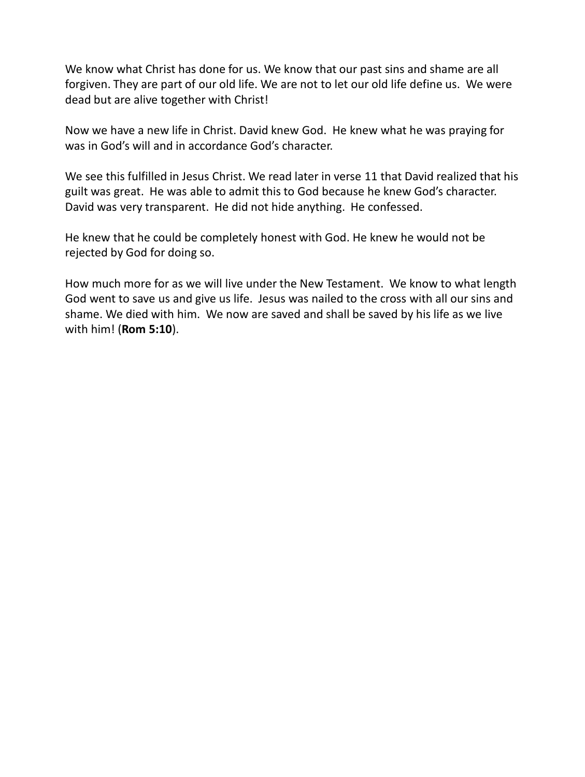We know what Christ has done for us. We know that our past sins and shame are all forgiven. They are part of our old life. We are not to let our old life define us. We were dead but are alive together with Christ!

Now we have a new life in Christ. David knew God. He knew what he was praying for was in God's will and in accordance God's character.

We see this fulfilled in Jesus Christ. We read later in verse 11 that David realized that his guilt was great. He was able to admit this to God because he knew God's character. David was very transparent. He did not hide anything. He confessed.

He knew that he could be completely honest with God. He knew he would not be rejected by God for doing so.

How much more for as we will live under the New Testament. We know to what length God went to save us and give us life. Jesus was nailed to the cross with all our sins and shame. We died with him. We now are saved and shall be saved by his life as we live with him! (**Rom 5:10**).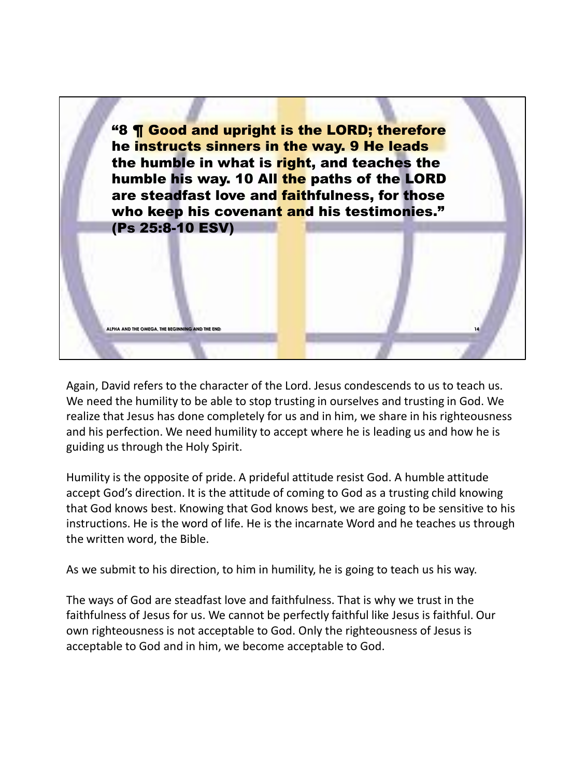

Again, David refers to the character of the Lord. Jesus condescends to us to teach us. We need the humility to be able to stop trusting in ourselves and trusting in God. We realize that Jesus has done completely for us and in him, we share in his righteousness and his perfection. We need humility to accept where he is leading us and how he is guiding us through the Holy Spirit.

Humility is the opposite of pride. A prideful attitude resist God. A humble attitude accept God's direction. It is the attitude of coming to God as a trusting child knowing that God knows best. Knowing that God knows best, we are going to be sensitive to his instructions. He is the word of life. He is the incarnate Word and he teaches us through the written word, the Bible.

As we submit to his direction, to him in humility, he is going to teach us his way.

The ways of God are steadfast love and faithfulness. That is why we trust in the faithfulness of Jesus for us. We cannot be perfectly faithful like Jesus is faithful. Our own righteousness is not acceptable to God. Only the righteousness of Jesus is acceptable to God and in him, we become acceptable to God.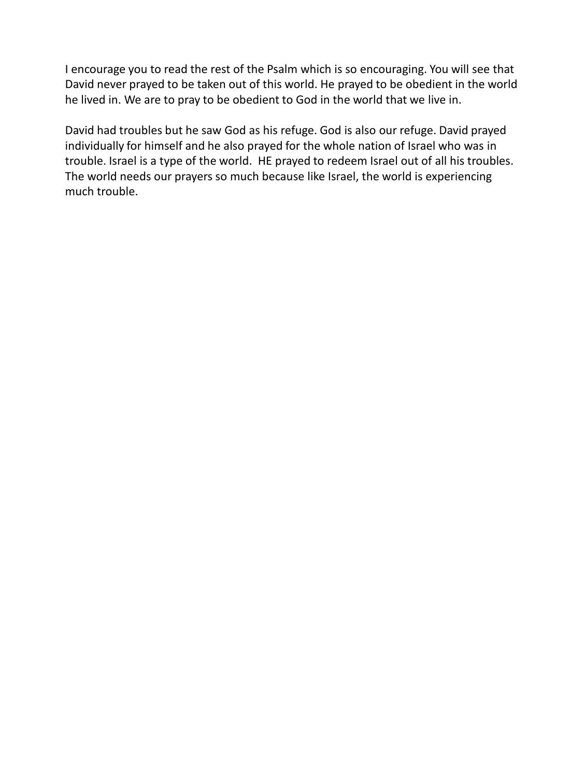I encourage you to read the rest of the Psalm which is so encouraging. You will see that David never prayed to be taken out of this world. He prayed to be obedient in the world he lived in. We are to pray to be obedient to God in the world that we live in.

David had troubles but he saw God as his refuge. God is also our refuge. David prayed individually for himself and he also prayed for the whole nation of Israel who was in trouble. Israel is a type of the world. HE prayed to redeem Israel out of all his troubles. The world needs our prayers so much because like Israel, the world is experiencing much trouble.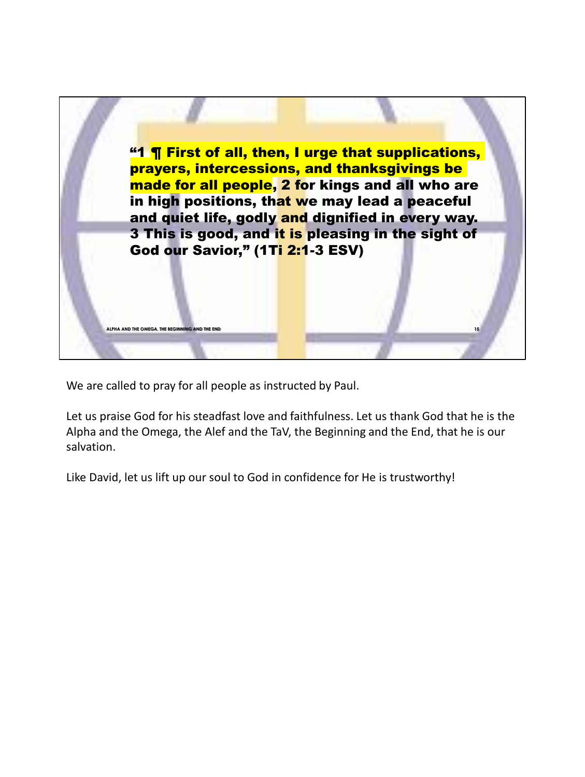

We are called to pray for all people as instructed by Paul.

Let us praise God for his steadfast love and faithfulness. Let us thank God that he is the Alpha and the Omega, the Alef and the TaV, the Beginning and the End, that he is our salvation.

Like David, let us lift up our soul to God in confidence for He is trustworthy!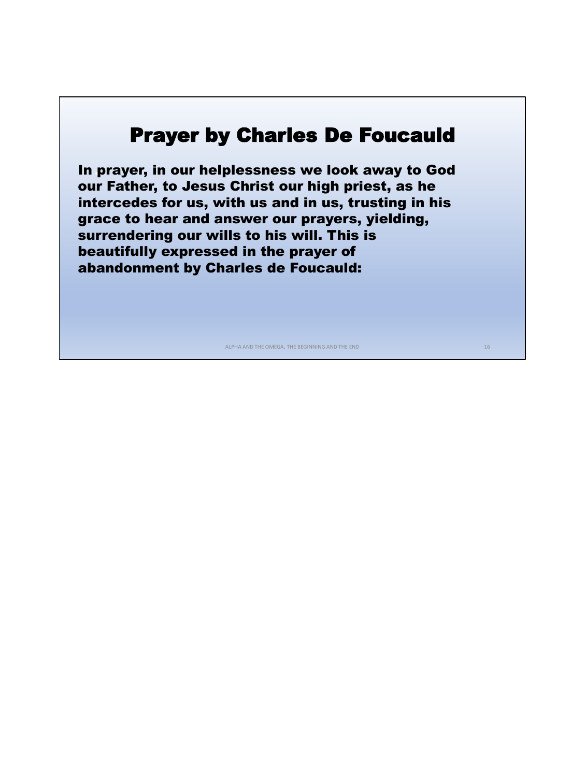## Prayer by Charles De Foucauld

• In prayer, in our helplessness we look away to God our Father, to Jesus Christ our high priest, as he intercedes for us, with us and in us, trusting in his grace to hear and answer our prayers, yielding, surrendering our wills to his will. This is beautifully expressed in the prayer of abandonment by Charles de Foucauld:

ALPHA AND THE OMEGA, THE BEGINNING AND THE END 16